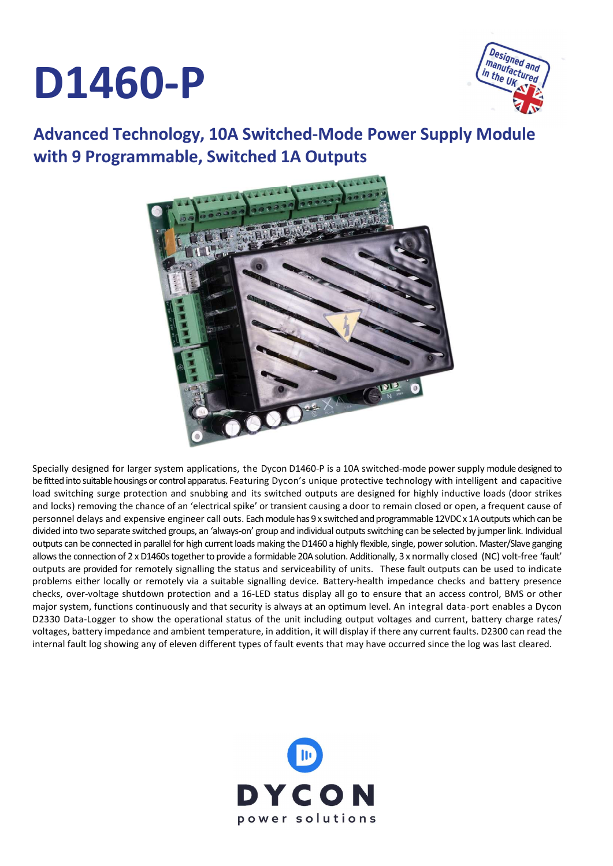# D1460-P



### Advanced Technology, 10A Switched-Mode Power Supply Module with 9 Programmable, Switched 1A Outputs



Specially designed for larger system applications, the Dycon D1460-P is a 10A switched-mode power supply module designed to be fitted into suitable housings or control apparatus. Featuring Dycon's unique protective technology with intelligent and capacitive load switching surge protection and snubbing and its switched outputs are designed for highly inductive loads (door strikes and locks) removing the chance of an 'electrical spike' or transient causing a door to remain closed or open, a frequent cause of personnel delays and expensive engineer call outs. Each module has 9 x switched and programmable 12VDC x 1A outputs which can be divided into two separate switched groups, an 'always-on' group and individual outputs switching can be selected by jumper link. Individual outputs can be connected in parallel for high current loads making the D1460 a highly flexible, single, power solution. Master/Slave ganging allows the connection of 2 x D1460s together to provide a formidable 20A solution. Additionally, 3 x normally closed (NC) volt-free 'fault' outputs are provided for remotely signalling the status and serviceability of units. These fault outputs can be used to indicate problems either locally or remotely via a suitable signalling device. Battery-health impedance checks and battery presence checks, over-voltage shutdown protection and a 16-LED status display all go to ensure that an access control, BMS or other major system, functions continuously and that security is always at an optimum level. An integral data-port enables a Dycon D2330 Data-Logger to show the operational status of the unit including output voltages and current, battery charge rates/ voltages, battery impedance and ambient temperature, in addition, it will display if there any current faults. D2300 can read the internal fault log showing any of eleven different types of fault events that may have occurred since the log was last cleared.